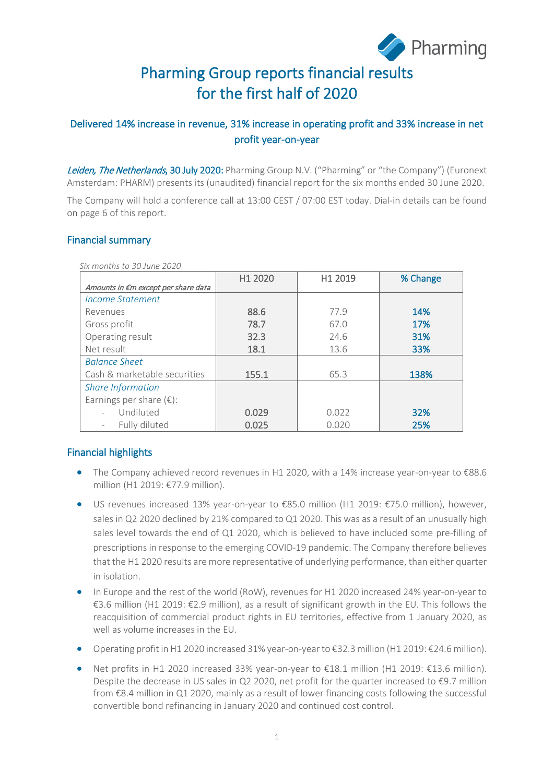

# Pharming Group reports financial results for the first half of 2020

## Delivered 14% increase in revenue, 31% increase in operating profit and 33% increase in net profit year-on-year

Leiden, The Netherlands, 30 July 2020: Pharming Group N.V. ("Pharming" or "the Company") (Euronext Amsterdam: PHARM) presents its (unaudited) financial report for the six months ended 30 June 2020.

The Company will hold a conference call at 13:00 CEST / 07:00 EST today. Dial-in details can be found on page 6 of this report.

#### Financial summary

|                                     | H1 2020 | H1 2019 | % Change |
|-------------------------------------|---------|---------|----------|
| Amounts in €m except per share data |         |         |          |
| Income Statement                    |         |         |          |
| Revenues                            | 88.6    | 77.9    | 14%      |
| Gross profit                        | 78.7    | 67.0    | 17%      |
| Operating result                    | 32.3    | 24.6    | 31%      |
| Net result                          | 18.1    | 13.6    | 33%      |
| <b>Balance Sheet</b>                |         |         |          |
| Cash & marketable securities        | 155.1   | 65.3    | 138%     |
| <b>Share Information</b>            |         |         |          |
| Earnings per share $(\epsilon)$ :   |         |         |          |
| Undiluted                           | 0.029   | 0.022   | 32%      |
| Fully diluted                       | 0.025   | 0.020   | 25%      |

 *Six months to 30 June 2020*

## Financial highlights

- The Company achieved record revenues in H1 2020, with a 14% increase year-on-year to €88.6 million (H1 2019: €77.9 million).
- US revenues increased 13% year-on-year to €85.0 million (H1 2019: €75.0 million), however, sales in Q2 2020 declined by 21% compared to Q1 2020. This was as a result of an unusually high sales level towards the end of Q1 2020, which is believed to have included some pre-filling of prescriptions in response to the emerging COVID-19 pandemic. The Company therefore believes that the H1 2020 results are more representative of underlying performance, than either quarter in isolation.
- In Europe and the rest of the world (RoW), revenues for H1 2020 increased 24% year-on-year to €3.6 million (H1 2019: €2.9 million), as a result of significant growth in the EU. This follows the reacquisition of commercial product rights in EU territories, effective from 1 January 2020, as well as volume increases in the EU.
- Operating profit in H1 2020 increased 31% year-on-year to €32.3 million (H1 2019: €24.6 million).
- Net profits in H1 2020 increased 33% year-on-year to €18.1 million (H1 2019: €13.6 million). Despite the decrease in US sales in Q2 2020, net profit for the quarter increased to  $\epsilon$ 9.7 million from €8.4 million in Q1 2020, mainly as a result of lower financing costs following the successful convertible bond refinancing in January 2020 and continued cost control.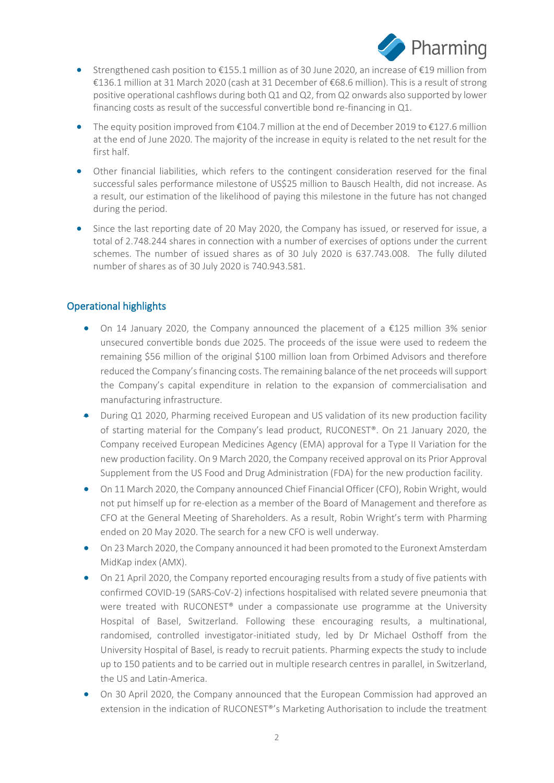

- Strengthened cash position to  $\epsilon$ 155.1 million as of 30 June 2020, an increase of  $\epsilon$ 19 million from €136.1 million at 31 March 2020 (cash at 31 December of €68.6 million). This is a result of strong positive operational cashflows during both Q1 and Q2, from Q2 onwards also supported by lower financing costs as result of the successful convertible bond re-financing in Q1.
- The equity position improved from €104.7 million at the end of December 2019 to €127.6 million at the end of June 2020. The majority of the increase in equity is related to the net result for the first half.
- Other financial liabilities, which refers to the contingent consideration reserved for the final successful sales performance milestone of US\$25 million to Bausch Health, did not increase. As a result, our estimation of the likelihood of paying this milestone in the future has not changed during the period.
- Since the last reporting date of 20 May 2020, the Company has issued, or reserved for issue, a total of 2.748.244 shares in connection with a number of exercises of options under the current schemes. The number of issued shares as of 30 July 2020 is 637.743.008. The fully diluted number of shares as of 30 July 2020 is 740.943.581.

## Operational highlights

- On 14 January 2020, the Company announced the placement of a €125 million 3% senior unsecured convertible bonds due 2025. The proceeds of the issue were used to redeem the remaining \$56 million of the original \$100 million loan from Orbimed Advisors and therefore reduced the Company's financing costs. The remaining balance of the net proceeds will support the Company's capital expenditure in relation to the expansion of commercialisation and manufacturing infrastructure.
- During Q1 2020, Pharming received European and US validation of its new production facility of starting material for the Company's lead product, RUCONEST®. On 21 January 2020, the Company received European Medicines Agency (EMA) approval for a Type II Variation for the new production facility. On 9 March 2020, the Company received approval on its Prior Approval Supplement from the US Food and Drug Administration (FDA) for the new production facility.
- On 11 March 2020, the Company announced Chief Financial Officer (CFO), Robin Wright, would not put himself up for re-election as a member of the Board of Management and therefore as CFO at the General Meeting of Shareholders. As a result, Robin Wright's term with Pharming ended on 20 May 2020. The search for a new CFO is well underway.
- On 23 March 2020, the Company announced it had been promoted to the Euronext Amsterdam MidKap index (AMX).
- On 21 April 2020, the Company reported encouraging results from a study of five patients with confirmed COVID-19 (SARS-CoV-2) infections hospitalised with related severe pneumonia that were treated with RUCONEST® under a compassionate use programme at the University Hospital of Basel, Switzerland. Following these encouraging results, a multinational, randomised, controlled investigator-initiated study, led by Dr Michael Osthoff from the University Hospital of Basel, is ready to recruit patients. Pharming expects the study to include up to 150 patients and to be carried out in multiple research centres in parallel, in Switzerland, the US and Latin-America.
- On 30 April 2020, the Company announced that the European Commission had approved an extension in the indication of RUCONEST®'s Marketing Authorisation to include the treatment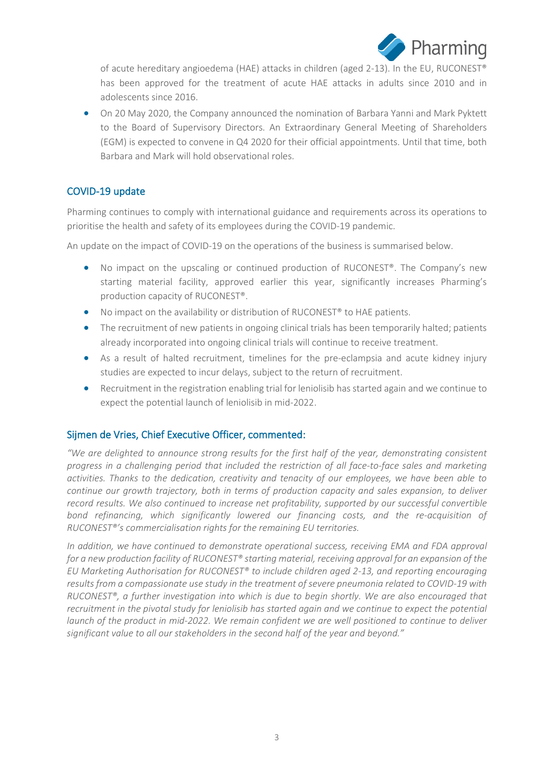

of acute hereditary angioedema (HAE) attacks in children (aged 2-13). In the EU, RUCONEST® has been approved for the treatment of acute HAE attacks in adults since 2010 and in adolescents since 2016.

• On 20 May 2020, the Company announced the nomination of Barbara Yanni and Mark Pyktett to the Board of Supervisory Directors. An Extraordinary General Meeting of Shareholders (EGM) is expected to convene in Q4 2020 for their official appointments. Until that time, both Barbara and Mark will hold observational roles.

#### COVID-19 update

Pharming continues to comply with international guidance and requirements across its operations to prioritise the health and safety of its employees during the COVID-19 pandemic.

An update on the impact of COVID-19 on the operations of the business is summarised below.

- No impact on the upscaling or continued production of RUCONEST®. The Company's new starting material facility, approved earlier this year, significantly increases Pharming's production capacity of RUCONEST®.
- No impact on the availability or distribution of RUCONEST<sup>®</sup> to HAE patients.
- The recruitment of new patients in ongoing clinical trials has been temporarily halted; patients already incorporated into ongoing clinical trials will continue to receive treatment.
- As a result of halted recruitment, timelines for the pre-eclampsia and acute kidney injury studies are expected to incur delays, subject to the return of recruitment.
- Recruitment in the registration enabling trial for leniolisib has started again and we continue to expect the potential launch of leniolisib in mid-2022.

#### Sijmen de Vries, Chief Executive Officer, commented:

*"We are delighted to announce strong results for the first half of the year, demonstrating consistent progress in a challenging period that included the restriction of all face-to-face sales and marketing activities. Thanks to the dedication, creativity and tenacity of our employees, we have been able to continue our growth trajectory, both in terms of production capacity and sales expansion, to deliver record results. We also continued to increase net profitability, supported by our successful convertible bond refinancing, which significantly lowered our financing costs, and the re-acquisition of RUCONEST®'s commercialisation rights for the remaining EU territories.*

*In addition, we have continued to demonstrate operational success, receiving EMA and FDA approval for a new production facility of RUCONEST® starting material, receiving approval for an expansion of the EU Marketing Authorisation for RUCONEST® to include children aged 2-13, and reporting encouraging results from a compassionate use study in the treatment of severe pneumonia related to COVID-19 with RUCONEST®, a further investigation into which is due to begin shortly. We are also encouraged that recruitment in the pivotal study for leniolisib has started again and we continue to expect the potential launch of the product in mid-2022. We remain confident we are well positioned to continue to deliver significant value to all our stakeholders in the second half of the year and beyond."*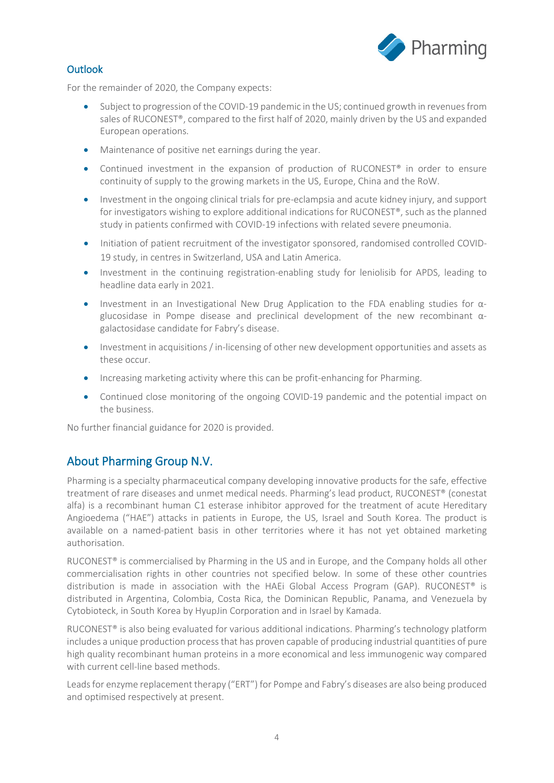

## Outlook

For the remainder of 2020, the Company expects:

- Subject to progression of the COVID-19 pandemic in the US; continued growth in revenues from sales of RUCONEST®, compared to the first half of 2020, mainly driven by the US and expanded European operations.
- Maintenance of positive net earnings during the year.
- Continued investment in the expansion of production of RUCONEST<sup>®</sup> in order to ensure continuity of supply to the growing markets in the US, Europe, China and the RoW.
- Investment in the ongoing clinical trials for pre-eclampsia and acute kidney injury, and support for investigators wishing to explore additional indications for RUCONEST®, such as the planned study in patients confirmed with COVID-19 infections with related severe pneumonia.
- Initiation of patient recruitment of the investigator sponsored, randomised controlled COVID-19 study, in centres in Switzerland, USA and Latin America.
- Investment in the continuing registration-enabling study for leniolisib for APDS, leading to headline data early in 2021.
- Investment in an Investigational New Drug Application to the FDA enabling studies for αglucosidase in Pompe disease and preclinical development of the new recombinant αgalactosidase candidate for Fabry's disease.
- Investment in acquisitions / in-licensing of other new development opportunities and assets as these occur.
- Increasing marketing activity where this can be profit-enhancing for Pharming.
- Continued close monitoring of the ongoing COVID-19 pandemic and the potential impact on the business.

No further financial guidance for 2020 is provided.

# About Pharming Group N.V.

Pharming is a specialty pharmaceutical company developing innovative products for the safe, effective treatment of rare diseases and unmet medical needs. Pharming's lead product, RUCONEST® (conestat alfa) is a recombinant human C1 esterase inhibitor approved for the treatment of acute Hereditary Angioedema ("HAE") attacks in patients in Europe, the US, Israel and South Korea. The product is available on a named-patient basis in other territories where it has not yet obtained marketing authorisation.

RUCONEST<sup>®</sup> is commercialised by Pharming in the US and in Europe, and the Company holds all other commercialisation rights in other countries not specified below. In some of these other countries distribution is made in association with the HAEi Global Access Program (GAP). RUCONEST® is distributed in Argentina, Colombia, Costa Rica, the Dominican Republic, Panama, and Venezuela by Cytobioteck, in South Korea by HyupJin Corporation and in Israel by Kamada.

RUCONEST<sup>®</sup> is also being evaluated for various additional indications. Pharming's technology platform includes a unique production process that has proven capable of producing industrial quantities of pure high quality recombinant human proteins in a more economical and less immunogenic way compared with current cell-line based methods.

Leads for enzyme replacement therapy ("ERT") for Pompe and Fabry's diseases are also being produced and optimised respectively at present.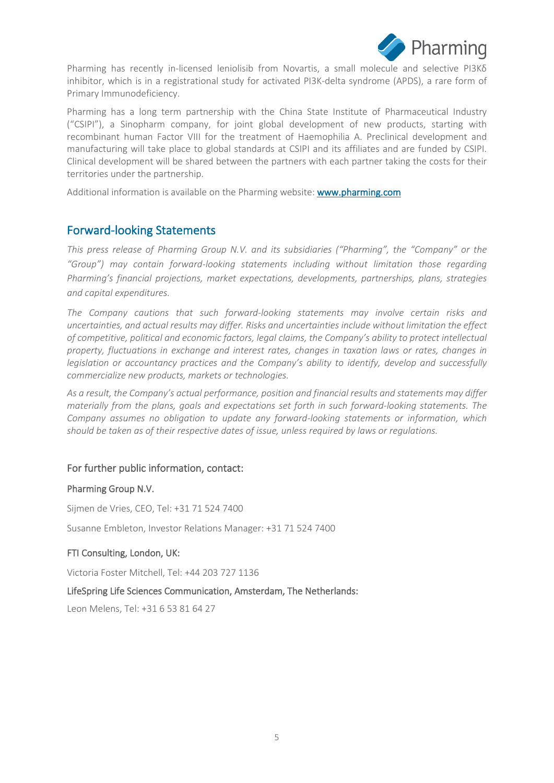

Pharming has recently in-licensed leniolisib from Novartis, a small molecule and selective PI3Kδ inhibitor, which is in a registrational study for activated PI3K-delta syndrome (APDS), a rare form of Primary Immunodeficiency.

Pharming has a long term partnership with the China State Institute of Pharmaceutical Industry ("CSIPI"), a Sinopharm company, for joint global development of new products, starting with recombinant human Factor VIII for the treatment of Haemophilia A. Preclinical development and manufacturing will take place to global standards at CSIPI and its affiliates and are funded by CSIPI. Clinical development will be shared between the partners with each partner taking the costs for their territories under the partnership.

Additional information is available on the Pharming website: [www.pharming.com](http://www.pharming.com/) 

# Forward-looking Statements

*This press release of Pharming Group N.V. and its subsidiaries ("Pharming", the "Company" or the "Group") may contain forward-looking statements including without limitation those regarding Pharming's financial projections, market expectations, developments, partnerships, plans, strategies and capital expenditures.*

*The Company cautions that such forward-looking statements may involve certain risks and uncertainties, and actual results may differ. Risks and uncertainties include without limitation the effect of competitive, political and economic factors, legal claims, the Company's ability to protect intellectual property, fluctuations in exchange and interest rates, changes in taxation laws or rates, changes in legislation or accountancy practices and the Company's ability to identify, develop and successfully commercialize new products, markets or technologies.*

*As a result, the Company's actual performance, position and financial results and statements may differ materially from the plans, goals and expectations set forth in such forward-looking statements. The Company assumes no obligation to update any forward-looking statements or information, which should be taken as of their respective dates of issue, unless required by laws or regulations.*

## For further public information, contact:

#### Pharming Group N.V.

Sijmen de Vries, CEO, Tel: +31 71 524 7400

Susanne Embleton, Investor Relations Manager: +31 71 524 7400

#### FTI Consulting, London, UK:

Victoria Foster Mitchell, Tel: +44 203 727 1136

#### LifeSpring Life Sciences Communication, Amsterdam, The Netherlands:

Leon Melens, Tel: +31 6 53 81 64 27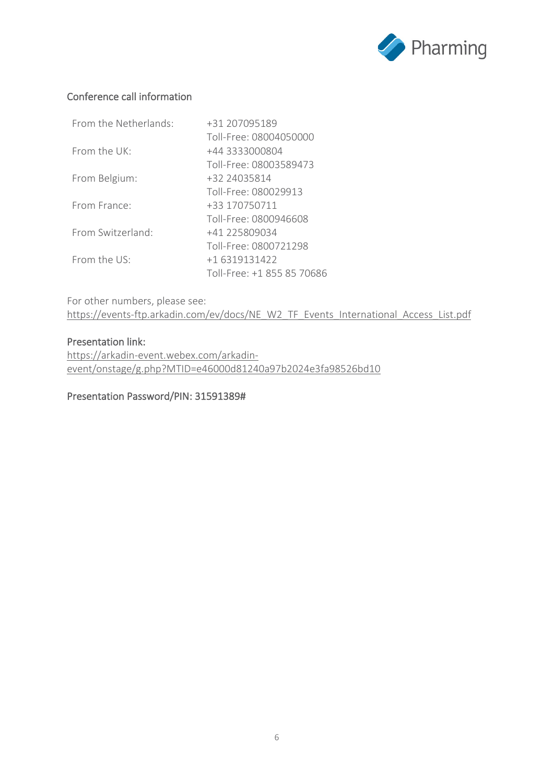

## Conference call information

| From the Netherlands: | +31 207095189              |
|-----------------------|----------------------------|
|                       | Toll-Free: 08004050000     |
| From the UK:          | +44 3333000804             |
|                       | Toll-Free: 08003589473     |
| From Belgium:         | +32 24035814               |
|                       | Toll-Free: 080029913       |
| From France:          | +33 170750711              |
|                       | Toll-Free: 0800946608      |
| From Switzerland:     | +41 225809034              |
|                       | Toll-Free: 0800721298      |
| From the $US^{\cdot}$ | +1 6319131422              |
|                       | Toll-Free: +1 855 85 70686 |

For other numbers, please see: [https://events-ftp.arkadin.com/ev/docs/NE\\_W2\\_TF\\_Events\\_International\\_Access\\_List.pdf](https://events-ftp.arkadin.com/ev/docs/NE_W2_TF_Events_International_Access_List.pdf)

#### Presentation link:

[https://arkadin-event.webex.com/arkadin](https://arkadin-event.webex.com/arkadin-event/onstage/g.php?MTID=e46000d81240a97b2024e3fa98526bd10)[event/onstage/g.php?MTID=e46000d81240a97b2024e3fa98526bd10](https://arkadin-event.webex.com/arkadin-event/onstage/g.php?MTID=e46000d81240a97b2024e3fa98526bd10)

Presentation Password/PIN: 31591389#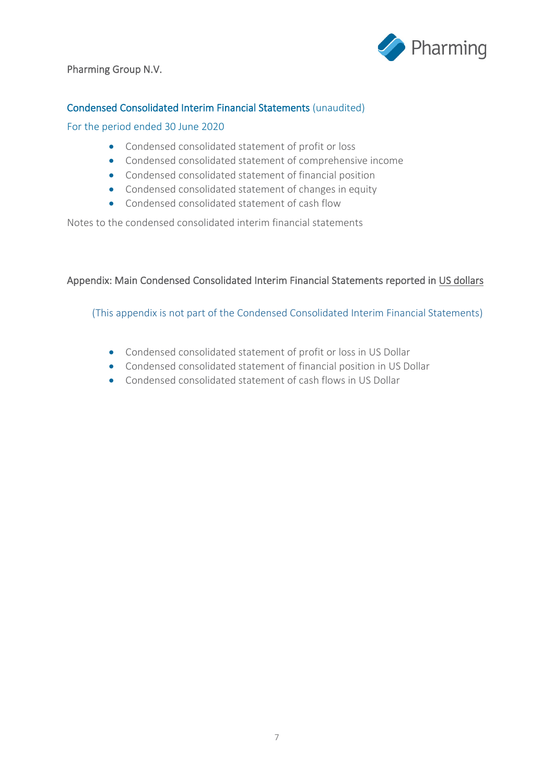

## Pharming Group N.V.

## Condensed Consolidated Interim Financial Statements (unaudited)

#### For the period ended 30 June 2020

- Condensed consolidated statement of profit or loss
- Condensed consolidated statement of comprehensive income
- Condensed consolidated statement of financial position
- Condensed consolidated statement of changes in equity
- Condensed consolidated statement of cash flow

Notes to the condensed consolidated interim financial statements

#### Appendix: Main Condensed Consolidated Interim Financial Statements reported in US dollars

(This appendix is not part of the Condensed Consolidated Interim Financial Statements)

- Condensed consolidated statement of profit or loss in US Dollar
- Condensed consolidated statement of financial position in US Dollar
- Condensed consolidated statement of cash flows in US Dollar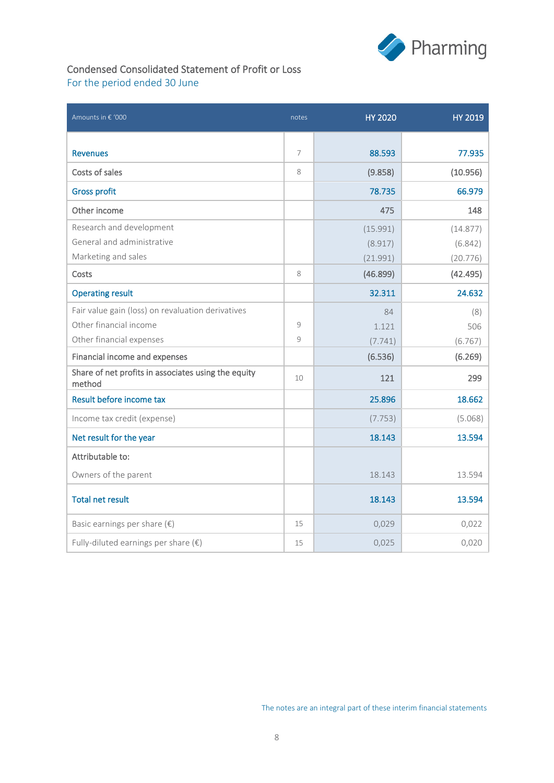

## Condensed Consolidated Statement of Profit or Loss For the period ended 30 June

| Amounts in € '000                                             | notes | <b>HY 2020</b> | <b>HY 2019</b> |
|---------------------------------------------------------------|-------|----------------|----------------|
|                                                               |       |                |                |
| <b>Revenues</b>                                               | 7     | 88.593         | 77.935         |
| Costs of sales                                                | 8     | (9.858)        | (10.956)       |
| <b>Gross profit</b>                                           |       | 78.735         | 66.979         |
| Other income                                                  |       | 475            | 148            |
| Research and development                                      |       | (15.991)       | (14.877)       |
| General and administrative                                    |       | (8.917)        | (6.842)        |
| Marketing and sales                                           |       | (21.991)       | (20.776)       |
| Costs                                                         | 8     | (46.899)       | (42.495)       |
| <b>Operating result</b>                                       |       | 32.311         | 24.632         |
| Fair value gain (loss) on revaluation derivatives             |       | 84             | (8)            |
| Other financial income                                        | 9     | 1.121          | 506            |
| Other financial expenses                                      | 9     | (7.741)        | (6.767)        |
| Financial income and expenses                                 |       | (6.536)        | (6.269)        |
| Share of net profits in associates using the equity<br>method | 10    | 121            | 299            |
| Result before income tax                                      |       | 25.896         | 18.662         |
| Income tax credit (expense)                                   |       | (7.753)        | (5.068)        |
| Net result for the year                                       |       | 18.143         | 13.594         |
| Attributable to:                                              |       |                |                |
| Owners of the parent                                          |       | 18.143         | 13.594         |
| <b>Total net result</b>                                       |       | 18.143         | 13.594         |
| Basic earnings per share $(\epsilon)$                         | 15    | 0,029          | 0,022          |
| Fully-diluted earnings per share $(\epsilon)$                 | 15    | 0,025          | 0,020          |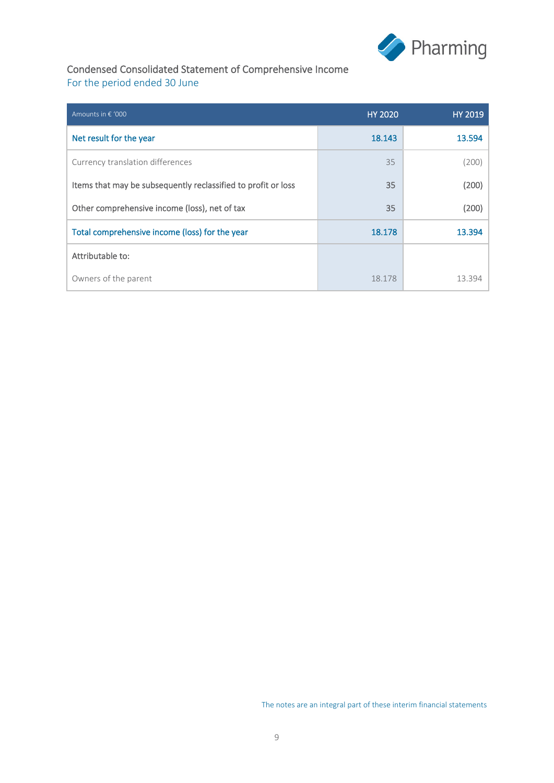

## Condensed Consolidated Statement of Comprehensive Income For the period ended 30 June

| Amounts in € '000                                             | <b>HY 2020</b> | <b>HY 2019</b> |
|---------------------------------------------------------------|----------------|----------------|
| Net result for the year                                       | 18.143         | 13.594         |
| Currency translation differences                              | 35             | (200)          |
| Items that may be subsequently reclassified to profit or loss | 35             | (200)          |
| Other comprehensive income (loss), net of tax                 | 35             | (200)          |
| Total comprehensive income (loss) for the year                | 18.178         | 13.394         |
| Attributable to:                                              |                |                |
| Owners of the parent                                          | 18.178         | 13.394         |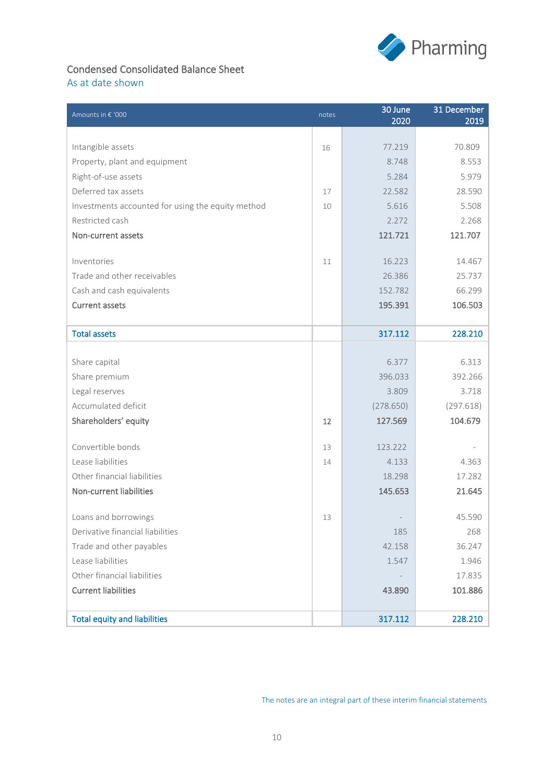

## Condensed Consolidated Balance Sheet As at date shown

| Amounts in € '000                                 | notes | 30 June<br>2020 | 31 December<br>2019 |
|---------------------------------------------------|-------|-----------------|---------------------|
|                                                   |       |                 |                     |
| Intangible assets                                 | 16    | 77.219          | 70.809              |
| Property, plant and equipment                     |       | 8.748           | 8.553               |
| Right-of-use assets                               |       | 5.284           | 5.979               |
| Deferred tax assets                               | 17    | 22.582          | 28.590              |
| Investments accounted for using the equity method | 10    | 5.616           | 5.508               |
| Restricted cash                                   |       | 2.272           | 2.268               |
| Non-current assets                                |       | 121.721         | 121.707             |
|                                                   |       |                 |                     |
| Inventories                                       | 11    | 16.223          | 14.467              |
| Trade and other receivables                       |       | 26.386          | 25.737              |
| Cash and cash equivalents                         |       | 152.782         | 66.299              |
| <b>Current assets</b>                             |       | 195.391         | 106.503             |
|                                                   |       |                 |                     |
| <b>Total assets</b>                               |       | 317.112         | 228.210             |
|                                                   |       |                 |                     |
| Share capital                                     |       | 6.377           | 6.313               |
| Share premium                                     |       | 396.033         | 392.266             |
| Legal reserves                                    |       | 3.809           | 3.718               |
| Accumulated deficit                               |       | (278.650)       | (297.618)           |
| Shareholders' equity                              | 12    | 127.569         | 104.679             |
| Convertible bonds                                 | 13    | 123.222         |                     |
| Lease liabilities                                 | 14    | 4.133           | 4.363               |
| Other financial liabilities                       |       | 18.298          | 17.282              |
| Non-current liabilities                           |       | 145.653         | 21.645              |
|                                                   |       |                 |                     |
| Loans and borrowings                              | 13    |                 | 45.590              |
| Derivative financial liabilities                  |       | 185             | 268                 |
| Trade and other payables                          |       | 42.158          | 36.247              |
| Lease liabilities                                 |       | 1.547           | 1.946               |
| Other financial liabilities                       |       |                 | 17.835              |
| <b>Current liabilities</b>                        |       | 43.890          | 101.886             |
|                                                   |       |                 |                     |
| <b>Total equity and liabilities</b>               |       | 317.112         | 228.210             |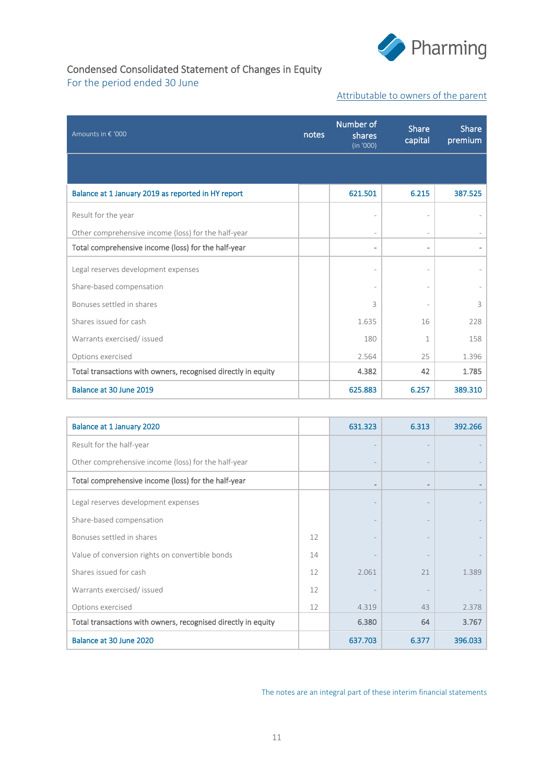

## Condensed Consolidated Statement of Changes in Equity For the period ended 30 June

#### Attributable to owners of the parent

| Amounts in € '000                                             | notes | Number of<br>shares<br>(in '000) | <b>Share</b><br>capital      | <b>Share</b><br>premium |
|---------------------------------------------------------------|-------|----------------------------------|------------------------------|-------------------------|
|                                                               |       |                                  |                              |                         |
| Balance at 1 January 2019 as reported in HY report            |       | 621.501                          | 6.215                        | 387.525                 |
| Result for the year                                           |       |                                  |                              |                         |
| Other comprehensive income (loss) for the half-year           |       |                                  |                              |                         |
| Total comprehensive income (loss) for the half-year           |       |                                  | $\qquad \qquad \blacksquare$ |                         |
| Legal reserves development expenses                           |       |                                  |                              |                         |
| Share-based compensation                                      |       |                                  |                              |                         |
| Bonuses settled in shares                                     |       | 3                                |                              | 3                       |
| Shares issued for cash                                        |       | 1.635                            | 16                           | 228                     |
| Warrants exercised/ issued                                    |       | 180                              | 1                            | 158                     |
| Options exercised                                             |       | 2.564                            | 25                           | 1.396                   |
| Total transactions with owners, recognised directly in equity |       | 4.382                            | 42                           | 1.785                   |
| Balance at 30 June 2019                                       |       | 625.883                          | 6.257                        | 389.310                 |

| Balance at 1 January 2020                                     |    | 631.323 | 6.313                    | 392.266 |
|---------------------------------------------------------------|----|---------|--------------------------|---------|
| Result for the half-year                                      |    |         |                          |         |
| Other comprehensive income (loss) for the half-year           |    |         |                          |         |
| Total comprehensive income (loss) for the half-year           |    |         | $\overline{\phantom{0}}$ |         |
| Legal reserves development expenses                           |    |         |                          |         |
| Share-based compensation                                      |    |         |                          |         |
| Bonuses settled in shares                                     | 12 |         |                          |         |
| Value of conversion rights on convertible bonds               | 14 |         |                          |         |
| Shares issued for cash                                        | 12 | 2.061   | 21                       | 1.389   |
| Warrants exercised/ issued                                    | 12 |         |                          |         |
| Options exercised                                             | 12 | 4.319   | 43                       | 2.378   |
| Total transactions with owners, recognised directly in equity |    | 6.380   | 64                       | 3.767   |
| Balance at 30 June 2020                                       |    | 637.703 | 6.377                    | 396.033 |

The notes are an integral part of these interim financial statements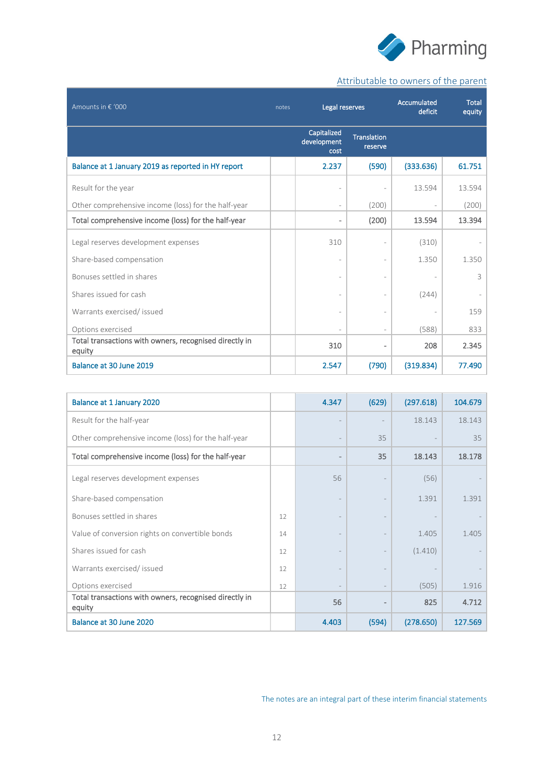

# Attributable to owners of the parent

| Amounts in € '000                                                | notes | Legal reserves                     |                               | Accumulated<br>deficit | <b>Total</b><br>equity |
|------------------------------------------------------------------|-------|------------------------------------|-------------------------------|------------------------|------------------------|
|                                                                  |       | Capitalized<br>development<br>cost | <b>Translation</b><br>reserve |                        |                        |
| Balance at 1 January 2019 as reported in HY report               |       | 2.237                              | (590)                         | (333.636)              | 61.751                 |
| Result for the year                                              |       |                                    |                               | 13.594                 | 13.594                 |
| Other comprehensive income (loss) for the half-year              |       | $\overline{\phantom{a}}$           | (200)                         |                        | (200)                  |
| Total comprehensive income (loss) for the half-year              |       |                                    | (200)                         | 13.594                 | 13.394                 |
| Legal reserves development expenses                              |       | 310                                |                               | (310)                  |                        |
| Share-based compensation                                         |       |                                    |                               | 1.350                  | 1.350                  |
| Bonuses settled in shares                                        |       |                                    |                               |                        | 3                      |
| Shares issued for cash                                           |       |                                    |                               | (244)                  |                        |
| Warrants exercised/ issued                                       |       |                                    |                               |                        | 159                    |
| Options exercised                                                |       |                                    |                               | (588)                  | 833                    |
| Total transactions with owners, recognised directly in<br>equity |       | 310                                |                               | 208                    | 2.345                  |
| Balance at 30 June 2019                                          |       | 2.547                              | (790)                         | (319.834)              | 77.490                 |

| Balance at 1 January 2020                                        |    | 4.347                    | (629) | (297.618) | 104.679 |
|------------------------------------------------------------------|----|--------------------------|-------|-----------|---------|
| Result for the half-year                                         |    |                          |       | 18.143    | 18.143  |
| Other comprehensive income (loss) for the half-year              |    |                          | 35    |           | 35      |
| Total comprehensive income (loss) for the half-year              |    |                          | 35    | 18.143    | 18.178  |
| Legal reserves development expenses                              |    | 56                       |       | (56)      |         |
| Share-based compensation                                         |    | $\overline{\phantom{a}}$ |       | 1.391     | 1.391   |
| Bonuses settled in shares                                        | 12 |                          |       |           |         |
| Value of conversion rights on convertible bonds                  | 14 |                          |       | 1.405     | 1.405   |
| Shares issued for cash                                           | 12 |                          |       | (1.410)   |         |
| Warrants exercised/issued                                        | 12 |                          |       |           |         |
| Options exercised                                                | 12 |                          |       | (505)     | 1.916   |
| Total transactions with owners, recognised directly in<br>equity |    | 56                       |       | 825       | 4.712   |
| Balance at 30 June 2020                                          |    | 4.403                    | (594) | (278.650) | 127.569 |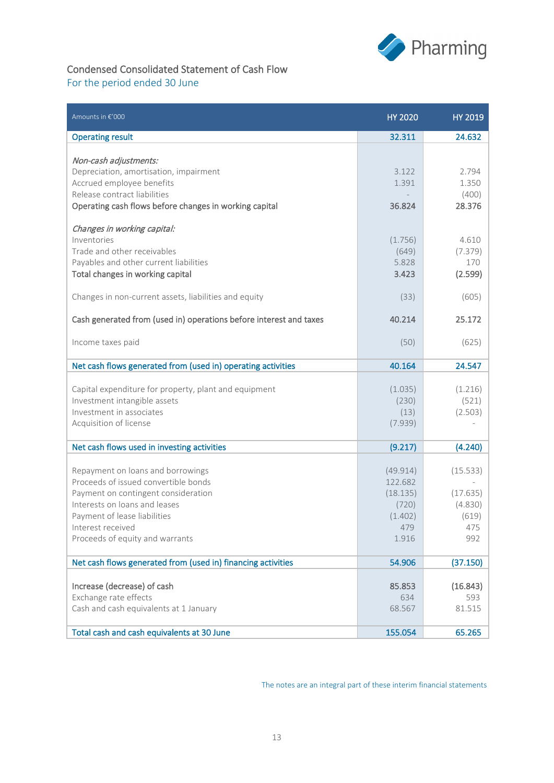

# Condensed Consolidated Statement of Cash Flow

# For the period ended 30 June

| Amounts in €'000                                                                                                                                                                                                                          | <b>HY 2020</b>                                                      | <b>HY 2019</b>                                         |
|-------------------------------------------------------------------------------------------------------------------------------------------------------------------------------------------------------------------------------------------|---------------------------------------------------------------------|--------------------------------------------------------|
| <b>Operating result</b>                                                                                                                                                                                                                   | 32.311                                                              | 24.632                                                 |
| Non-cash adjustments:<br>Depreciation, amortisation, impairment<br>Accrued employee benefits<br>Release contract liabilities<br>Operating cash flows before changes in working capital                                                    | 3.122<br>1.391<br>36.824                                            | 2.794<br>1.350<br>(400)<br>28.376                      |
| Changes in working capital:<br>Inventories<br>Trade and other receivables<br>Payables and other current liabilities<br>Total changes in working capital                                                                                   | (1.756)<br>(649)<br>5.828<br>3.423                                  | 4.610<br>(7.379)<br>170<br>(2.599)                     |
| Changes in non-current assets, liabilities and equity<br>Cash generated from (used in) operations before interest and taxes                                                                                                               | (33)<br>40.214                                                      | (605)<br>25.172                                        |
| Income taxes paid                                                                                                                                                                                                                         | (50)                                                                | (625)                                                  |
| Net cash flows generated from (used in) operating activities                                                                                                                                                                              | 40.164                                                              | 24.547                                                 |
| Capital expenditure for property, plant and equipment<br>Investment intangible assets<br>Investment in associates<br>Acquisition of license                                                                                               | (1.035)<br>(230)<br>(13)<br>(7.939)                                 | (1.216)<br>(521)<br>(2.503)                            |
| Net cash flows used in investing activities                                                                                                                                                                                               | (9.217)                                                             | (4.240)                                                |
| Repayment on loans and borrowings<br>Proceeds of issued convertible bonds<br>Payment on contingent consideration<br>Interests on loans and leases<br>Payment of lease liabilities<br>Interest received<br>Proceeds of equity and warrants | (49.914)<br>122.682<br>(18.135)<br>(720)<br>(1.402)<br>479<br>1.916 | (15.533)<br>(17.635)<br>(4.830)<br>(619)<br>475<br>992 |
|                                                                                                                                                                                                                                           |                                                                     |                                                        |
| Net cash flows generated from (used in) financing activities                                                                                                                                                                              | 54.906                                                              | (37.150)                                               |
| Increase (decrease) of cash<br>Exchange rate effects<br>Cash and cash equivalents at 1 January                                                                                                                                            | 85.853<br>634<br>68.567                                             | (16.843)<br>593<br>81.515                              |
| Total cash and cash equivalents at 30 June                                                                                                                                                                                                | 155.054                                                             | 65.265                                                 |

The notes are an integral part of these interim financial statements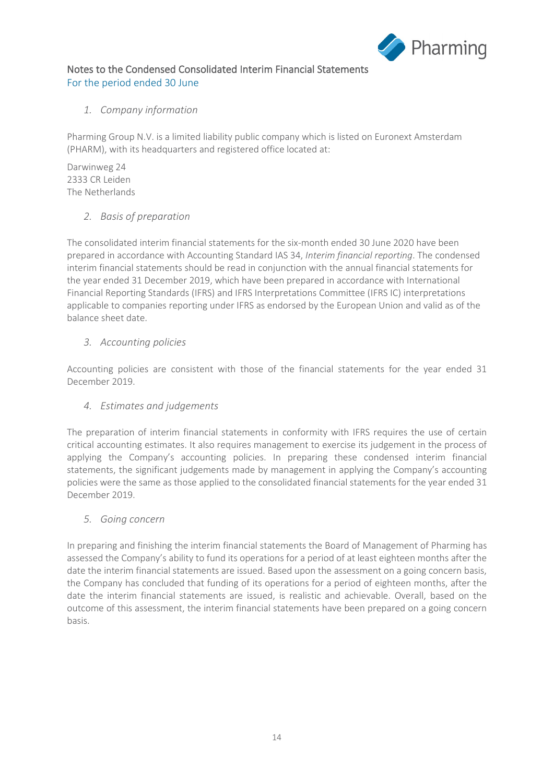

## Notes to the Condensed Consolidated Interim Financial Statements For the period ended 30 June

## *1. Company information*

Pharming Group N.V. is a limited liability public company which is listed on Euronext Amsterdam (PHARM), with its headquarters and registered office located at:

Darwinweg 24 2333 CR Leiden The Netherlands

## *2. Basis of preparation*

The consolidated interim financial statements for the six-month ended 30 June 2020 have been prepared in accordance with Accounting Standard IAS 34, *Interim financial reporting*. The condensed interim financial statements should be read in conjunction with the annual financial statements for the year ended 31 December 2019, which have been prepared in accordance with International Financial Reporting Standards (IFRS) and IFRS Interpretations Committee (IFRS IC) interpretations applicable to companies reporting under IFRS as endorsed by the European Union and valid as of the balance sheet date.

## *3. Accounting policies*

Accounting policies are consistent with those of the financial statements for the year ended 31 December 2019.

## *4. Estimates and judgements*

The preparation of interim financial statements in conformity with IFRS requires the use of certain critical accounting estimates. It also requires management to exercise its judgement in the process of applying the Company's accounting policies. In preparing these condensed interim financial statements, the significant judgements made by management in applying the Company's accounting policies were the same as those applied to the consolidated financial statements for the year ended 31 December 2019.

#### *5. Going concern*

In preparing and finishing the interim financial statements the Board of Management of Pharming has assessed the Company's ability to fund its operations for a period of at least eighteen months after the date the interim financial statements are issued. Based upon the assessment on a going concern basis, the Company has concluded that funding of its operations for a period of eighteen months, after the date the interim financial statements are issued, is realistic and achievable. Overall, based on the outcome of this assessment, the interim financial statements have been prepared on a going concern basis.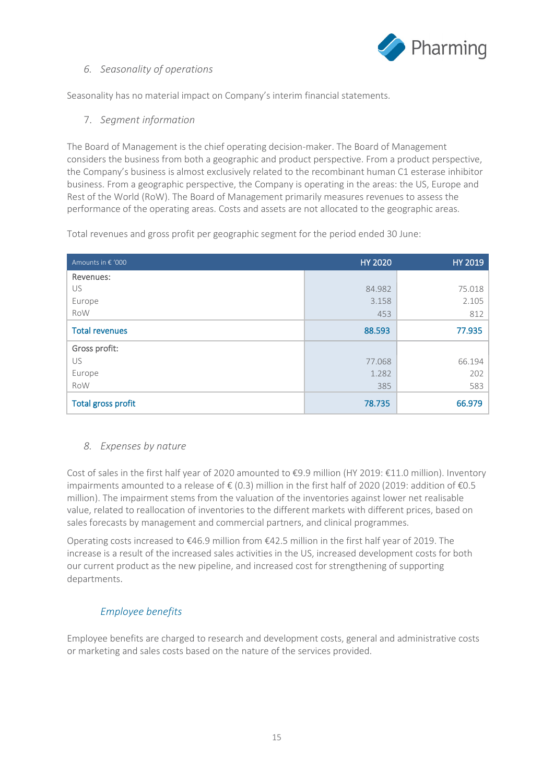

#### *6. Seasonality of operations*

Seasonality has no material impact on Company's interim financial statements.

7. *Segment information*

The Board of Management is the chief operating decision-maker. The Board of Management considers the business from both a geographic and product perspective. From a product perspective, the Company's business is almost exclusively related to the recombinant human C1 esterase inhibitor business. From a geographic perspective, the Company is operating in the areas: the US, Europe and Rest of the World (RoW). The Board of Management primarily measures revenues to assess the performance of the operating areas. Costs and assets are not allocated to the geographic areas.

Total revenues and gross profit per geographic segment for the period ended 30 June:

| Amounts in € '000         | <b>HY 2020</b> | HY 2019 |
|---------------------------|----------------|---------|
| Revenues:                 |                |         |
| US                        | 84.982         | 75.018  |
| Europe                    | 3.158          | 2.105   |
| RoW                       | 453            | 812     |
| <b>Total revenues</b>     | 88.593         | 77.935  |
| Gross profit:             |                |         |
| US                        | 77.068         | 66.194  |
| Europe                    | 1.282          | 202     |
| RoW                       | 385            | 583     |
| <b>Total gross profit</b> | 78.735         | 66.979  |

#### *8. Expenses by nature*

Cost of sales in the first half year of 2020 amounted to €9.9 million (HY 2019: €11.0 million). Inventory impairments amounted to a release of  $\epsilon$  (0.3) million in the first half of 2020 (2019: addition of  $\epsilon$ 0.5 million). The impairment stems from the valuation of the inventories against lower net realisable value, related to reallocation of inventories to the different markets with different prices, based on sales forecasts by management and commercial partners, and clinical programmes.

Operating costs increased to €46.9 million from €42.5 million in the first half year of 2019. The increase is a result of the increased sales activities in the US, increased development costs for both our current product as the new pipeline, and increased cost for strengthening of supporting departments.

## *Employee benefits*

Employee benefits are charged to research and development costs, general and administrative costs or marketing and sales costs based on the nature of the services provided.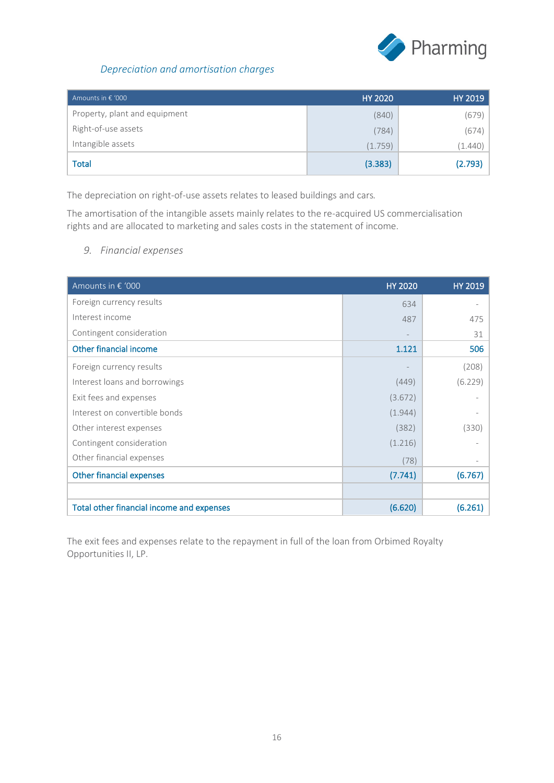

# *Depreciation and amortisation charges*

| Amounts in $\epsilon$ '000    | <b>HY 2020</b> | HY 2019 |
|-------------------------------|----------------|---------|
| Property, plant and equipment | (840)          | (679)   |
| Right-of-use assets           | (784)          | (674)   |
| Intangible assets             | (1.759)        | (1.440) |
| Total                         | (3.383)        | (2.793) |

The depreciation on right-of-use assets relates to leased buildings and cars*.*

The amortisation of the intangible assets mainly relates to the re-acquired US commercialisation rights and are allocated to marketing and sales costs in the statement of income.

*9. Financial expenses* 

| Amounts in € '000                         | <b>HY 2020</b> | <b>HY 2019</b>    |
|-------------------------------------------|----------------|-------------------|
| Foreign currency results                  | 634            |                   |
| Interest income                           | 487            | 475               |
| Contingent consideration                  |                | 31                |
| Other financial income                    | 1.121          | 506               |
| Foreign currency results                  |                | (208)             |
| Interest loans and borrowings             | (449)          | (6.229)           |
| Exit fees and expenses                    | (3.672)        |                   |
| Interest on convertible bonds             | (1.944)        |                   |
| Other interest expenses                   | (382)          | (330)             |
| Contingent consideration                  | (1.216)        |                   |
| Other financial expenses                  | (78)           | $\qquad \qquad -$ |
| <b>Other financial expenses</b>           | (7.741)        | (6.767)           |
|                                           |                |                   |
| Total other financial income and expenses | (6.620)        | (6.261)           |

The exit fees and expenses relate to the repayment in full of the loan from Orbimed Royalty Opportunities II, LP.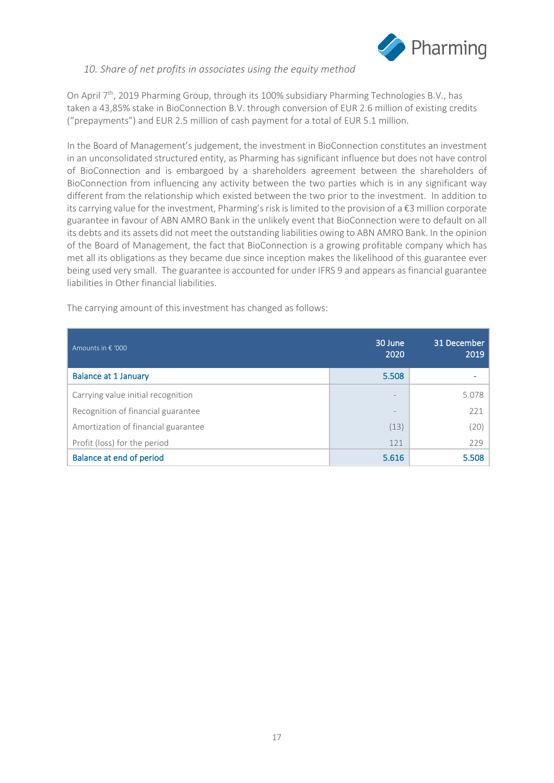

#### *10. Share of net profits in associates using the equity method*

On April 7<sup>th</sup>, 2019 Pharming Group, through its 100% subsidiary Pharming Technologies B.V., has taken a 43,85% stake in BioConnection B.V. through conversion of EUR 2.6 million of existing credits ("prepayments") and EUR 2.5 million of cash payment for a total of EUR 5.1 million.

In the Board of Management's judgement, the investment in BioConnection constitutes an investment in an unconsolidated structured entity, as Pharming has significant influence but does not have control of BioConnection and is embargoed by a shareholders agreement between the shareholders of BioConnection from influencing any activity between the two parties which is in any significant way different from the relationship which existed between the two prior to the investment. In addition to its carrying value for the investment, Pharming's risk is limited to the provision of a €3 million corporate guarantee in favour of ABN AMRO Bank in the unlikely event that BioConnection were to default on all its debts and its assets did not meet the outstanding liabilities owing to ABN AMRO Bank. In the opinion of the Board of Management, the fact that BioConnection is a growing profitable company which has met all its obligations as they became due since inception makes the likelihood of this guarantee ever being used very small. The guarantee is accounted for under IFRS 9 and appears as financial guarantee liabilities in Other financial liabilities.

The carrying amount of this investment has changed as follows:

| Amounts in $\epsilon$ '000          | 30 June<br>2020 | 31 December<br>2019 |
|-------------------------------------|-----------------|---------------------|
| <b>Balance at 1 January</b>         | 5.508           |                     |
| Carrying value initial recognition  |                 | 5.078               |
| Recognition of financial guarantee  |                 | 221                 |
| Amortization of financial guarantee | (13)            | (20)                |
| Profit (loss) for the period        | 121             | 229                 |
| <b>Balance at end of period</b>     | 5.616           | 5.508               |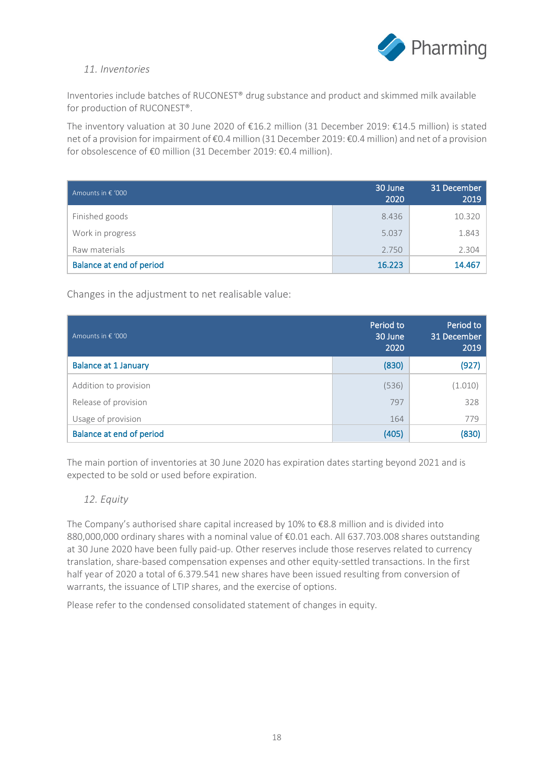

#### *11. Inventories*

Inventories include batches of RUCONEST® drug substance and product and skimmed milk available for production of RUCONEST®.

The inventory valuation at 30 June 2020 of €16.2 million (31 December 2019: €14.5 million) is stated net of a provision for impairment of €0.4 million (31 December 2019: €0.4 million) and net of a provision for obsolescence of €0 million (31 December 2019: €0.4 million).

| Amounts in $\epsilon$ '000      | 30 June<br>2020 | 31 December<br>2019 |
|---------------------------------|-----------------|---------------------|
| Finished goods                  | 8.436           | 10.320              |
| Work in progress                | 5.037           | 1.843               |
| Raw materials                   | 2.750           | 2.304               |
| <b>Balance at end of period</b> | 16.223          | 14.467              |

Changes in the adjustment to net realisable value:

| Amounts in € '000               | Period to<br>30 June<br>2020 | Period to<br>31 December<br>2019 |
|---------------------------------|------------------------------|----------------------------------|
| <b>Balance at 1 January</b>     | (830)                        | (927)                            |
| Addition to provision           | (536)                        | (1.010)                          |
| Release of provision            | 797                          | 328                              |
| Usage of provision              | 164                          | 779                              |
| <b>Balance at end of period</b> | (405)                        | (830)                            |

The main portion of inventories at 30 June 2020 has expiration dates starting beyond 2021 and is expected to be sold or used before expiration.

#### *12. Equity*

The Company's authorised share capital increased by 10% to €8.8 million and is divided into 880,000,000 ordinary shares with a nominal value of €0.01 each. All 637.703.008 shares outstanding at 30 June 2020 have been fully paid-up. Other reserves include those reserves related to currency translation, share-based compensation expenses and other equity-settled transactions. In the first half year of 2020 a total of 6.379.541 new shares have been issued resulting from conversion of warrants, the issuance of LTIP shares, and the exercise of options.

Please refer to the condensed consolidated statement of changes in equity.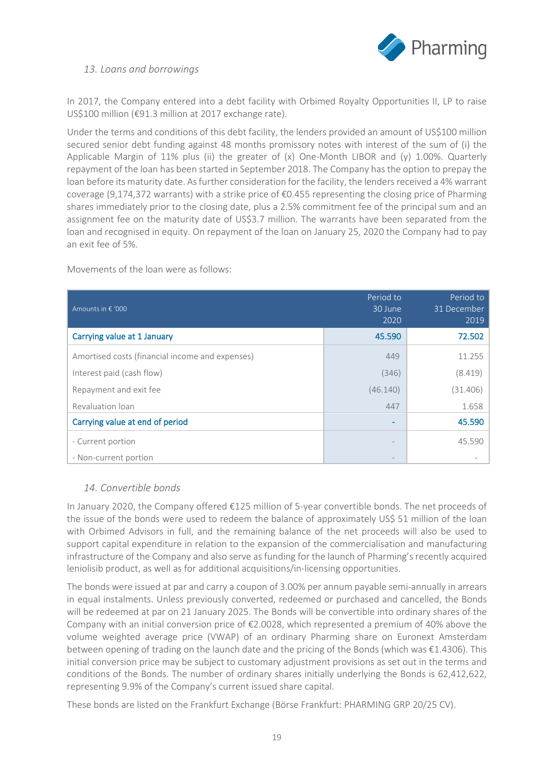

#### *13. Loans and borrowings*

In 2017, the Company entered into a debt facility with Orbimed Royalty Opportunities II, LP to raise US\$100 million (€91.3 million at 2017 exchange rate).

Under the terms and conditions of this debt facility, the lenders provided an amount of US\$100 million secured senior debt funding against 48 months promissory notes with interest of the sum of (i) the Applicable Margin of 11% plus (ii) the greater of (x) One-Month LIBOR and (y) 1.00%. Quarterly repayment of the loan has been started in September 2018. The Company has the option to prepay the loan before its maturity date. As further consideration for the facility, the lenders received a 4% warrant coverage (9,174,372 warrants) with a strike price of  $\epsilon$ 0.455 representing the closing price of Pharming shares immediately prior to the closing date, plus a 2.5% commitment fee of the principal sum and an assignment fee on the maturity date of US\$3.7 million. The warrants have been separated from the loan and recognised in equity. On repayment of the loan on January 25, 2020 the Company had to pay an exit fee of 5%.

Movements of the loan were as follows:

| Amounts in € '000                               | Period to<br>30 June<br>2020 | Period to<br>31 December<br>2019 |
|-------------------------------------------------|------------------------------|----------------------------------|
| Carrying value at 1 January                     | 45.590                       | 72.502                           |
| Amortised costs (financial income and expenses) | 449                          | 11.255                           |
| Interest paid (cash flow)                       | (346)                        | (8.419)                          |
| Repayment and exit fee                          | (46.140)                     | (31.406)                         |
| Revaluation loan                                | 447                          | 1.658                            |
| Carrying value at end of period                 |                              | 45.590                           |
| - Current portion<br>- Non-current portion      |                              | 45.590                           |

#### *14. Convertible bonds*

In January 2020, the Company offered €125 million of 5-year convertible bonds. The net proceeds of the issue of the bonds were used to redeem the balance of approximately US\$ 51 million of the loan with Orbimed Advisors in full, and the remaining balance of the net proceeds will also be used to support capital expenditure in relation to the expansion of the commercialisation and manufacturing infrastructure of the Company and also serve as funding for the launch of Pharming's recently acquired leniolisib product, as well as for additional acquisitions/in-licensing opportunities.

The bonds were issued at par and carry a coupon of 3.00% per annum payable semi-annually in arrears in equal instalments. Unless previously converted, redeemed or purchased and cancelled, the Bonds will be redeemed at par on 21 January 2025. The Bonds will be convertible into ordinary shares of the Company with an initial conversion price of €2.0028, which represented a premium of 40% above the volume weighted average price (VWAP) of an ordinary Pharming share on Euronext Amsterdam between opening of trading on the launch date and the pricing of the Bonds (which was €1.4306). This initial conversion price may be subject to customary adjustment provisions as set out in the terms and conditions of the Bonds. The number of ordinary shares initially underlying the Bonds is 62,412,622, representing 9.9% of the Company's current issued share capital.

These bonds are listed on the Frankfurt Exchange (Börse Frankfurt: PHARMING GRP 20/25 CV).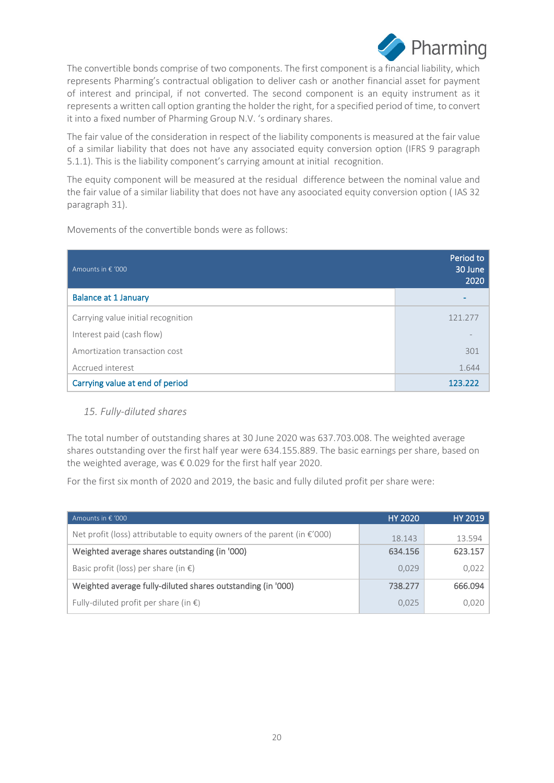

The convertible bonds comprise of two components. The first component is a financial liability, which represents Pharming's contractual obligation to deliver cash or another financial asset for payment of interest and principal, if not converted. The second component is an equity instrument as it represents a written call option granting the holder the right, for a specified period of time, to convert it into a fixed number of Pharming Group N.V. 's ordinary shares.

The fair value of the consideration in respect of the liability components is measured at the fair value of a similar liability that does not have any associated equity conversion option (IFRS 9 paragraph 5.1.1). This is the liability component's carrying amount at initial recognition.

The equity component will be measured at the residual difference between the nominal value and the fair value of a similar liability that does not have any asoociated equity conversion option ( IAS 32 paragraph 31).

Movements of the convertible bonds were as follows:

| Amounts in € '000                  | Period to<br>30 June<br>2020 |
|------------------------------------|------------------------------|
| <b>Balance at 1 January</b>        |                              |
| Carrying value initial recognition | 121.277                      |
| Interest paid (cash flow)          |                              |
| Amortization transaction cost      | 301                          |
| Accrued interest                   | 1.644                        |
| Carrying value at end of period    | 123.222                      |

## *15. Fully-diluted shares*

The total number of outstanding shares at 30 June 2020 was 637.703.008. The weighted average shares outstanding over the first half year were 634.155.889. The basic earnings per share, based on the weighted average, was € 0.029 for the first half year 2020.

For the first six month of 2020 and 2019, the basic and fully diluted profit per share were:

| Amounts in $\epsilon$ '000                                                         | <b>HY 2020</b> | HY 2019 |
|------------------------------------------------------------------------------------|----------------|---------|
| Net profit (loss) attributable to equity owners of the parent (in $\epsilon$ '000) | 18.143         | 13.594  |
| Weighted average shares outstanding (in '000)                                      | 634.156        | 623.157 |
| Basic profit (loss) per share (in $\epsilon$ )                                     | 0,029          | 0,022   |
| Weighted average fully-diluted shares outstanding (in '000)                        | 738.277        | 666.094 |
| Fully-diluted profit per share (in $\epsilon$ )                                    | 0,025          | 0,020   |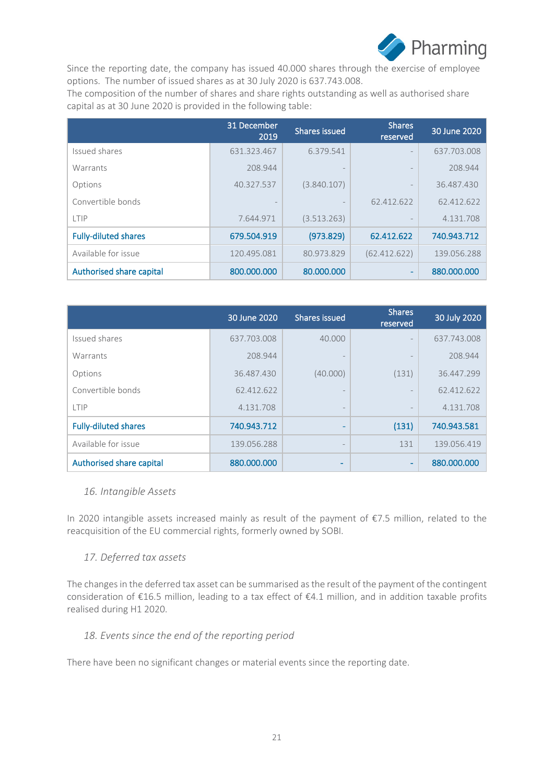

Since the reporting date, the company has issued 40.000 shares through the exercise of employee options. The number of issued shares as at 30 July 2020 is 637.743.008.

The composition of the number of shares and share rights outstanding as well as authorised share capital as at 30 June 2020 is provided in the following table:

|                             | 31 December<br>2019 | <b>Shares issued</b> | <b>Shares</b><br>reserved | 30 June 2020 |
|-----------------------------|---------------------|----------------------|---------------------------|--------------|
| Issued shares               | 631.323.467         | 6.379.541            |                           | 637.703.008  |
| Warrants                    | 208.944             |                      |                           | 208.944      |
| Options                     | 40.327.537          | (3.840.107)          | $\qquad \qquad -$         | 36.487.430   |
| Convertible bonds           |                     |                      | 62.412.622                | 62.412.622   |
| LTIP                        | 7.644.971           | (3.513.263)          |                           | 4.131.708    |
| <b>Fully-diluted shares</b> | 679.504.919         | (973.829)            | 62.412.622                | 740.943.712  |
| Available for issue         | 120.495.081         | 80.973.829           | (62.412.622)              | 139.056.288  |
| Authorised share capital    | 800.000.000         | 80,000,000           | $\overline{\phantom{a}}$  | 880,000,000  |

|                             | 30 June 2020 | Shares issued            | <b>Shares</b><br>reserved | 30 July 2020 |
|-----------------------------|--------------|--------------------------|---------------------------|--------------|
| Issued shares               | 637.703.008  | 40.000                   |                           | 637.743.008  |
| Warrants                    | 208.944      |                          |                           | 208.944      |
| Options                     | 36.487.430   | (40.000)                 | (131)                     | 36.447.299   |
| Convertible bonds           | 62.412.622   |                          |                           | 62.412.622   |
| LTIP                        | 4.131.708    | $\overline{\phantom{a}}$ |                           | 4.131.708    |
| <b>Fully-diluted shares</b> | 740.943.712  |                          | (131)                     | 740.943.581  |
| Available for issue         | 139.056.288  | $\qquad \qquad -$        | 131                       | 139.056.419  |
| Authorised share capital    | 880,000,000  | -                        | ۰                         | 880,000,000  |

#### *16. Intangible Assets*

In 2020 intangible assets increased mainly as result of the payment of €7.5 million, related to the reacquisition of the EU commercial rights, formerly owned by SOBI.

#### *17. Deferred tax assets*

The changes in the deferred tax asset can be summarised as the result of the payment of the contingent consideration of €16.5 million, leading to a tax effect of €4.1 million, and in addition taxable profits realised during H1 2020.

#### *18. Events since the end of the reporting period*

There have been no significant changes or material events since the reporting date.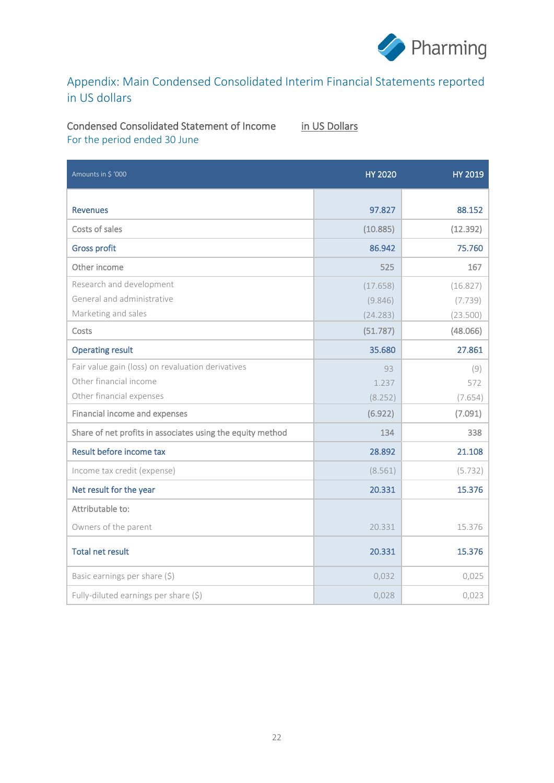

# Appendix: Main Condensed Consolidated Interim Financial Statements reported in US dollars

#### Condensed Consolidated Statement of Income in US Dollars For the period ended 30 June

| Amounts in \$ '000                                         | <b>HY 2020</b> | <b>HY 2019</b> |
|------------------------------------------------------------|----------------|----------------|
|                                                            |                |                |
| <b>Revenues</b>                                            | 97.827         | 88.152         |
| Costs of sales                                             | (10.885)       | (12.392)       |
| <b>Gross profit</b>                                        | 86.942         | 75.760         |
| Other income                                               | 525            | 167            |
| Research and development                                   | (17.658)       | (16.827)       |
| General and administrative                                 | (9.846)        | (7.739)        |
| Marketing and sales                                        | (24.283)       | (23.500)       |
| Costs                                                      | (51.787)       | (48.066)       |
| <b>Operating result</b>                                    | 35.680         | 27.861         |
| Fair value gain (loss) on revaluation derivatives          | 93             | (9)            |
| Other financial income                                     | 1.237          | 572            |
| Other financial expenses                                   | (8.252)        | (7.654)        |
| Financial income and expenses                              | (6.922)        | (7.091)        |
| Share of net profits in associates using the equity method | 134            | 338            |
| Result before income tax                                   | 28.892         | 21.108         |
| Income tax credit (expense)                                | (8.561)        | (5.732)        |
| Net result for the year                                    | 20.331         | 15.376         |
| Attributable to:                                           |                |                |
| Owners of the parent                                       | 20.331         | 15.376         |
| <b>Total net result</b>                                    | 20.331         | 15.376         |
| Basic earnings per share (\$)                              | 0,032          | 0,025          |
| Fully-diluted earnings per share (\$)                      | 0,028          | 0,023          |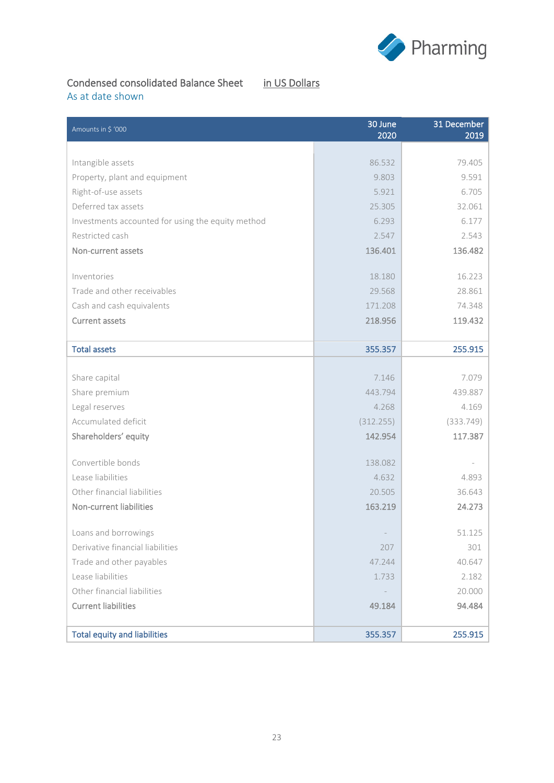

## Condensed consolidated Balance Sheet in US Dollars

# As at date shown

| Amounts in \$ '000                                | 30 June<br>2020 | 31 December<br>2019 |
|---------------------------------------------------|-----------------|---------------------|
|                                                   |                 |                     |
| Intangible assets                                 | 86.532          | 79.405              |
| Property, plant and equipment                     | 9.803           | 9.591               |
| Right-of-use assets                               | 5.921           | 6.705               |
| Deferred tax assets                               | 25.305          | 32.061              |
| Investments accounted for using the equity method | 6.293           | 6.177               |
| Restricted cash                                   | 2.547           | 2.543               |
| Non-current assets                                | 136.401         | 136.482             |
| Inventories                                       | 18.180          | 16.223              |
| Trade and other receivables                       | 29.568          | 28.861              |
| Cash and cash equivalents                         | 171.208         | 74.348              |
| <b>Current assets</b>                             | 218.956         | 119.432             |
| <b>Total assets</b>                               | 355.357         | 255.915             |
|                                                   |                 |                     |
| Share capital                                     | 7.146           | 7.079               |
| Share premium                                     | 443.794         | 439.887             |
| Legal reserves                                    | 4.268           | 4.169               |
| Accumulated deficit                               | (312.255)       | (333.749)           |
| Shareholders' equity                              | 142.954         | 117.387             |
| Convertible bonds                                 | 138.082         |                     |
| Lease liabilities                                 | 4.632           | 4.893               |
| Other financial liabilities                       | 20.505          | 36.643              |
| Non-current liabilities                           | 163.219         | 24.273              |
| Loans and borrowings                              |                 | 51.125              |
| Derivative financial liabilities                  | 207             | 301                 |
| Trade and other payables                          | 47.244          | 40.647              |
| Lease liabilities                                 | 1.733           | 2.182               |
| Other financial liabilities                       |                 | 20.000              |
| <b>Current liabilities</b>                        | 49.184          | 94.484              |
| <b>Total equity and liabilities</b>               | 355.357         | 255.915             |